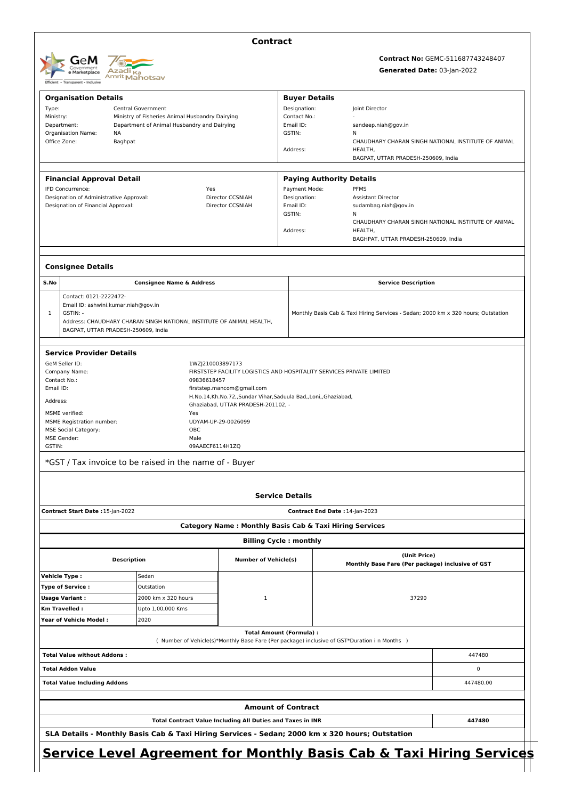

## **Contract**

# **Contract No:** GEMC-511687743248407 **Generated Date:** 03-Jan-2022

|                                                                                                                  | <b>Organisation Details</b>                                                                    |                                                                                               | <b>Buyer Details</b>                             |                                                                                   |   |
|------------------------------------------------------------------------------------------------------------------|------------------------------------------------------------------------------------------------|-----------------------------------------------------------------------------------------------|--------------------------------------------------|-----------------------------------------------------------------------------------|---|
| Type:                                                                                                            | <b>Central Government</b>                                                                      |                                                                                               | Designation:                                     | Joint Director                                                                    |   |
| Ministry:<br>Department:                                                                                         | Ministry of Fisheries Animal Husbandry Dairying<br>Department of Animal Husbandry and Dairying |                                                                                               | Contact No.:<br>Email ID:                        | sandeep.niah@gov.in                                                               |   |
| <b>Organisation Name:</b>                                                                                        | ΝA                                                                                             |                                                                                               | GSTIN:                                           | N                                                                                 |   |
| Office Zone:                                                                                                     | Baghpat                                                                                        |                                                                                               | Address:                                         | CHAUDHARY CHARAN SINGH NATIONAL INSTITUTE OF ANIMAL<br>HEALTH,                    |   |
|                                                                                                                  |                                                                                                |                                                                                               |                                                  | BAGPAT, UTTAR PRADESH-250609, India                                               |   |
|                                                                                                                  |                                                                                                |                                                                                               |                                                  |                                                                                   |   |
| <b>Financial Approval Detail</b><br>IFD Concurrence:                                                             |                                                                                                | Yes                                                                                           | <b>Paying Authority Details</b><br>Payment Mode: | <b>PFMS</b>                                                                       |   |
| Designation of Administrative Approval:                                                                          |                                                                                                | Director CCSNIAH                                                                              | Designation:                                     | <b>Assistant Director</b>                                                         |   |
| Designation of Financial Approval:                                                                               |                                                                                                | Director CCSNIAH                                                                              | Email ID:                                        | sudambag.niah@gov.in                                                              |   |
|                                                                                                                  |                                                                                                |                                                                                               | GSTIN:                                           | Ν<br>CHAUDHARY CHARAN SINGH NATIONAL INSTITUTE OF ANIMAL                          |   |
|                                                                                                                  |                                                                                                |                                                                                               | Address:                                         | HEALTH,                                                                           |   |
|                                                                                                                  |                                                                                                |                                                                                               |                                                  | BAGHPAT, UTTAR PRADESH-250609, India                                              |   |
| <b>Consignee Details</b>                                                                                         |                                                                                                |                                                                                               |                                                  |                                                                                   |   |
| S.No                                                                                                             | <b>Consignee Name &amp; Address</b>                                                            |                                                                                               |                                                  | <b>Service Description</b>                                                        |   |
| Contact: 0121-2222472-                                                                                           |                                                                                                |                                                                                               |                                                  |                                                                                   |   |
| $\mathbf{1}$<br>GSTIN: -                                                                                         | Email ID: ashwini.kumar.niah@gov.in                                                            |                                                                                               |                                                  | Monthly Basis Cab & Taxi Hiring Services - Sedan; 2000 km x 320 hours; Outstation |   |
|                                                                                                                  | Address: CHAUDHARY CHARAN SINGH NATIONAL INSTITUTE OF ANIMAL HEALTH,                           |                                                                                               |                                                  |                                                                                   |   |
|                                                                                                                  | BAGPAT, UTTAR PRADESH-250609, India                                                            |                                                                                               |                                                  |                                                                                   |   |
| <b>Service Provider Details</b>                                                                                  |                                                                                                |                                                                                               |                                                  |                                                                                   |   |
| GeM Seller ID:                                                                                                   |                                                                                                | 1WZJ210003897173                                                                              |                                                  |                                                                                   |   |
| Company Name:<br>Contact No.:                                                                                    |                                                                                                | FIRSTSTEP FACILITY LOGISTICS AND HOSPITALITY SERVICES PRIVATE LIMITED<br>09836618457          |                                                  |                                                                                   |   |
| Email ID:                                                                                                        |                                                                                                | firststep.mancom@gmail.com                                                                    |                                                  |                                                                                   |   |
| Address:                                                                                                         |                                                                                                | H.No.14,Kh.No.72,,Sundar Vihar,Saduula Bad,,Loni,,Ghaziabad,                                  |                                                  |                                                                                   |   |
|                                                                                                                  |                                                                                                | Ghaziabad, UTTAR PRADESH-201102, -                                                            |                                                  |                                                                                   |   |
|                                                                                                                  |                                                                                                |                                                                                               |                                                  |                                                                                   |   |
|                                                                                                                  | Yes                                                                                            | UDYAM-UP-29-0026099                                                                           |                                                  |                                                                                   |   |
|                                                                                                                  |                                                                                                | OBC                                                                                           |                                                  |                                                                                   |   |
|                                                                                                                  |                                                                                                | Male<br>09AAECF6114H1ZQ                                                                       |                                                  |                                                                                   |   |
| MSME verified:<br><b>MSME Registration number:</b><br><b>MSE Social Category:</b><br>MSE Gender:<br>GSTIN:       | *GST / Tax invoice to be raised in the name of - Buyer                                         |                                                                                               |                                                  |                                                                                   |   |
|                                                                                                                  |                                                                                                |                                                                                               |                                                  |                                                                                   |   |
|                                                                                                                  |                                                                                                |                                                                                               | <b>Service Details</b>                           |                                                                                   |   |
|                                                                                                                  |                                                                                                |                                                                                               | Contract End Date: 14-Jan-2023                   |                                                                                   |   |
|                                                                                                                  |                                                                                                | <b>Category Name: Monthly Basis Cab &amp; Taxi Hiring Services</b>                            |                                                  |                                                                                   |   |
|                                                                                                                  |                                                                                                |                                                                                               | <b>Billing Cycle: monthly</b>                    |                                                                                   |   |
|                                                                                                                  | <b>Description</b>                                                                             | <b>Number of Vehicle(s)</b>                                                                   |                                                  | (Unit Price)<br>Monthly Base Fare (Per package) inclusive of GST                  |   |
|                                                                                                                  | Sedan                                                                                          |                                                                                               |                                                  |                                                                                   |   |
|                                                                                                                  | Outstation                                                                                     |                                                                                               |                                                  |                                                                                   |   |
|                                                                                                                  | 2000 km x 320 hours                                                                            | $\mathbf 1$                                                                                   |                                                  | 37290                                                                             |   |
| Contract Start Date : 15-Jan-2022<br>Vehicle Type:<br>Type of Service:<br><b>Usage Variant:</b><br>Km Travelled: | Upto 1,00,000 Kms                                                                              |                                                                                               |                                                  |                                                                                   |   |
| <b>Year of Vehicle Model:</b>                                                                                    | 2020                                                                                           |                                                                                               |                                                  |                                                                                   |   |
|                                                                                                                  |                                                                                                | ( Number of Vehicle(s)*Monthly Base Fare (Per package) inclusive of GST*Duration i n Months ) | <b>Total Amount (Formula):</b>                   |                                                                                   |   |
|                                                                                                                  |                                                                                                |                                                                                               |                                                  | 447480                                                                            |   |
|                                                                                                                  |                                                                                                |                                                                                               |                                                  |                                                                                   | 0 |
|                                                                                                                  |                                                                                                |                                                                                               |                                                  | 447480.00                                                                         |   |
| <b>Total Value without Addons:</b><br><b>Total Addon Value</b><br><b>Total Value Including Addons</b>            |                                                                                                |                                                                                               | <b>Amount of Contract</b>                        |                                                                                   |   |
|                                                                                                                  |                                                                                                | Total Contract Value Including All Duties and Taxes in INR                                    |                                                  | 447480                                                                            |   |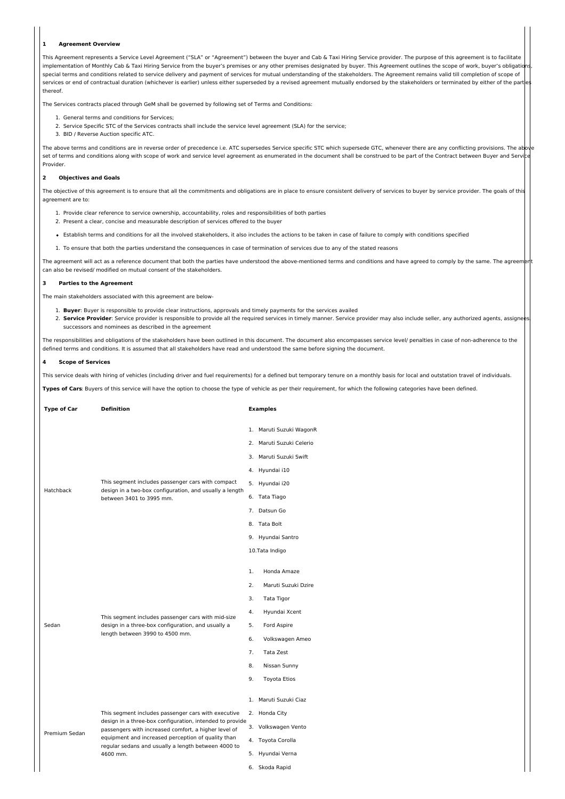#### **1 Agreement Overview**

This Agreement represents a Service Level Agreement ("SLA" or "Agreement") between the buyer and Cab & Taxi Hiring Service provider. The purpose of this agreement is to facilitate implementation of Monthly Cab & Taxi Hiring Service from the buyer's premises or any other premises designated by buyer. This Agreement outlines the scope of work, buyer's obligations, special terms and conditions related to service delivery and payment of services for mutual understanding of the stakeholders. The Agreement remains valid till completion of scope of services or end of contractual duration (whichever is earlier) unless either superseded by a revised agreement mutually endorsed by the stakeholders or terminated by either of the part thereof.

The Services contracts placed through GeM shall be governed by following set of Terms and Conditions:

1. General terms and conditions for Services;

- 2. Service Specific STC of the Services contracts shall include the service level agreement (SLA) for the service;
- 3. BID / Reverse Auction specific ATC.

The above terms and conditions are in reverse order of precedence i.e. ATC supersedes Service specific STC which supersede GTC, whenever there are any conflicting provisions. The above terms and conditions are in reverse o set of terms and conditions along with scope of work and service level agreement as enumerated in the document shall be construed to be part of the Contract between Buyer and Servi Provider.

## **2 Objectives and Goals**

The objective of this agreement is to ensure that all the commitments and obligations are in place to ensure consistent delivery of services to buyer by service provider. The goals of this agreement are to:

- 1. Provide clear reference to service ownership, accountability, roles and responsibilities of both parties
- 2. Present a clear, concise and measurable description of services offered to the buyer
- Establish terms and conditions for all the involved stakeholders, it also includes the actions to be taken in case of failure to comply with conditions specified
- 1. To ensure that both the parties understand the consequences in case of termination of services due to any of the stated reasons

The agreement will act as a reference document that both the parties have understood the above-mentioned terms and conditions and have agreed to comply by the same. The agreem can also be revised/ modified on mutual consent of the stakeholders.

#### **3 Parties to the Agreement**

The main stakeholders associated with this agreement are below-

- 1. **Buyer**: Buyer is responsible to provide clear instructions, approvals and timely payments for the services availed
- 2. Service Provider: Service provider is responsible to provide all the required services in timely manner. Service provider may also include seller, any authorized agents, assigne successors and nominees as described in the agreement

The responsibilities and obligations of the stakeholders have been outlined in this document. The document also encompasses service level/ penalties in case of non-adherence to the defined terms and conditions. It is assumed that all stakeholders have read and understood the same before signing the document.

## **4 Scope of Services**

This service deals with hiring of vehicles (including driver and fuel requirements) for a defined but temporary tenure on a monthly basis for local and outstation travel of individuals.

**Types of Cars**: Buyers of this service will have the option to choose the type of vehicle as per their requirement, for which the following categories have been defined.

|  | <b>Type of Car</b> | <b>Definition</b>                                                                                                                                                                                                                                                                                |    | <b>Examples</b>                       |
|--|--------------------|--------------------------------------------------------------------------------------------------------------------------------------------------------------------------------------------------------------------------------------------------------------------------------------------------|----|---------------------------------------|
|  |                    | This segment includes passenger cars with compact                                                                                                                                                                                                                                                |    | 1. Maruti Suzuki WagonR               |
|  |                    |                                                                                                                                                                                                                                                                                                  |    | 2. Maruti Suzuki Celerio              |
|  |                    |                                                                                                                                                                                                                                                                                                  |    | 3. Maruti Suzuki Swift                |
|  |                    |                                                                                                                                                                                                                                                                                                  |    | 4. Hyundai i10                        |
|  |                    |                                                                                                                                                                                                                                                                                                  |    | 5. Hyundai i20                        |
|  | Hatchback          | design in a two-box configuration, and usually a length<br>between 3401 to 3995 mm.                                                                                                                                                                                                              |    | 6. Tata Tiago                         |
|  |                    |                                                                                                                                                                                                                                                                                                  |    | 7. Datsun Go                          |
|  |                    |                                                                                                                                                                                                                                                                                                  |    | 8. Tata Bolt                          |
|  |                    |                                                                                                                                                                                                                                                                                                  |    | 9. Hyundai Santro                     |
|  |                    |                                                                                                                                                                                                                                                                                                  |    | 10.Tata Indigo                        |
|  |                    | This segment includes passenger cars with mid-size<br>design in a three-box configuration, and usually a<br>length between 3990 to 4500 mm.                                                                                                                                                      | 1. | Honda Amaze                           |
|  |                    |                                                                                                                                                                                                                                                                                                  | 2. | Maruti Suzuki Dzire                   |
|  |                    |                                                                                                                                                                                                                                                                                                  | 3. | Tata Tigor                            |
|  |                    |                                                                                                                                                                                                                                                                                                  | 4. | Hyundai Xcent                         |
|  | Sedan              |                                                                                                                                                                                                                                                                                                  | 5. | Ford Aspire                           |
|  |                    |                                                                                                                                                                                                                                                                                                  | 6. | Volkswagen Ameo                       |
|  |                    |                                                                                                                                                                                                                                                                                                  | 7. | Tata Zest                             |
|  |                    |                                                                                                                                                                                                                                                                                                  | 8. | Nissan Sunny                          |
|  |                    |                                                                                                                                                                                                                                                                                                  | 9. | <b>Toyota Etios</b>                   |
|  |                    |                                                                                                                                                                                                                                                                                                  |    |                                       |
|  | Premium Sedan      | This segment includes passenger cars with executive<br>design in a three-box configuration, intended to provide<br>passengers with increased comfort, a higher level of<br>equipment and increased perception of quality than<br>regular sedans and usually a length between 4000 to<br>4600 mm. |    | 1. Maruti Suzuki Ciaz                 |
|  |                    |                                                                                                                                                                                                                                                                                                  |    | 2. Honda City                         |
|  |                    |                                                                                                                                                                                                                                                                                                  |    | 3. Volkswagen Vento                   |
|  |                    |                                                                                                                                                                                                                                                                                                  |    | 4. Toyota Corolla<br>5. Hyundai Verna |
|  |                    |                                                                                                                                                                                                                                                                                                  |    | 6. Skoda Rapid                        |
|  |                    |                                                                                                                                                                                                                                                                                                  |    |                                       |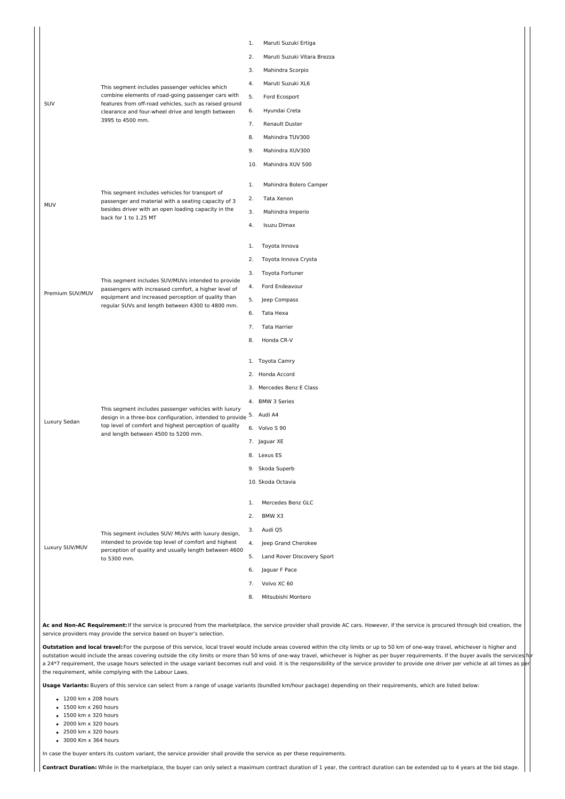|                 |                                                                                                                                                                                                                              | 1.  | Maruti Suzuki Ertiga        |
|-----------------|------------------------------------------------------------------------------------------------------------------------------------------------------------------------------------------------------------------------------|-----|-----------------------------|
|                 |                                                                                                                                                                                                                              |     | Maruti Suzuki Vitara Brezza |
|                 |                                                                                                                                                                                                                              |     | Mahindra Scorpio            |
|                 | This segment includes passenger vehicles which<br>combine elements of road-going passenger cars with<br>features from off-road vehicles, such as raised ground<br>clearance and four-wheel drive and length between          | 4.  | Maruti Suzuki XL6           |
| SUV             |                                                                                                                                                                                                                              | 5.  | Ford Ecosport               |
|                 |                                                                                                                                                                                                                              | 6.  | Hyundai Creta               |
|                 | 3995 to 4500 mm.<br>7.                                                                                                                                                                                                       |     | Renault Duster              |
|                 |                                                                                                                                                                                                                              |     | Mahindra TUV300             |
|                 |                                                                                                                                                                                                                              | 9.  | Mahindra XUV300             |
|                 |                                                                                                                                                                                                                              | 10. | Mahindra XUV 500            |
|                 |                                                                                                                                                                                                                              | 1.  | Mahindra Bolero Camper      |
|                 | This segment includes vehicles for transport of<br>passenger and material with a seating capacity of 3                                                                                                                       | 2.  | Tata Xenon                  |
| MUV             | besides driver with an open loading capacity in the                                                                                                                                                                          | 3.  | Mahindra Imperio            |
|                 | back for 1 to 1.25 MT                                                                                                                                                                                                        | 4.  | Isuzu Dimax                 |
|                 |                                                                                                                                                                                                                              |     |                             |
|                 |                                                                                                                                                                                                                              |     | Toyota Innova               |
|                 |                                                                                                                                                                                                                              | 2.  | Toyota Innova Crysta        |
|                 | This segment includes SUV/MUVs intended to provide                                                                                                                                                                           | 3.  | Toyota Fortuner             |
| Premium SUV/MUV | passengers with increased comfort, a higher level of                                                                                                                                                                         | 4.  | Ford Endeavour              |
|                 | equipment and increased perception of quality than<br>regular SUVs and length between 4300 to 4800 mm.                                                                                                                       | 5.  | Jeep Compass                |
|                 |                                                                                                                                                                                                                              | 6.  | Tata Hexa                   |
|                 |                                                                                                                                                                                                                              | 7.  | Tata Harrier                |
|                 |                                                                                                                                                                                                                              | 8.  | Honda CR-V                  |
|                 | This segment includes passenger vehicles with luxury<br>design in a three-box configuration, intended to provide 5. Audi A4<br>top level of comfort and highest perception of quality<br>and length between 4500 to 5200 mm. |     | 1. Toyota Camry             |
|                 |                                                                                                                                                                                                                              |     | 2. Honda Accord             |
|                 |                                                                                                                                                                                                                              |     | 3. Mercedes Benz E Class    |
|                 |                                                                                                                                                                                                                              |     | 4. BMW 3 Series             |
|                 |                                                                                                                                                                                                                              |     |                             |
| Luxury Sedan    |                                                                                                                                                                                                                              |     | 6. Volvo S 90               |
|                 |                                                                                                                                                                                                                              |     | 7. Jaguar XE                |
|                 |                                                                                                                                                                                                                              |     | 8. Lexus ES                 |
|                 |                                                                                                                                                                                                                              |     | 9. Skoda Superb             |
|                 |                                                                                                                                                                                                                              |     | 10. Skoda Octavia           |
|                 | This segment includes SUV/ MUVs with luxury design,<br>intended to provide top level of comfort and highest<br>perception of quality and usually length between 4600<br>to 5300 mm.                                          | 1.  | Mercedes Benz GLC           |
|                 |                                                                                                                                                                                                                              | 2.  | BMW X3                      |
|                 |                                                                                                                                                                                                                              | 3.  | Audi Q5                     |
|                 |                                                                                                                                                                                                                              | 4.  | Jeep Grand Cherokee         |
| Luxury SUV/MUV  |                                                                                                                                                                                                                              | 5.  | Land Rover Discovery Sport  |
|                 |                                                                                                                                                                                                                              | 6.  | Jaguar F Pace               |
|                 |                                                                                                                                                                                                                              | 7.  | Volvo XC 60                 |
|                 |                                                                                                                                                                                                                              |     |                             |
|                 |                                                                                                                                                                                                                              | 8.  | Mitsubishi Montero          |

**Ac and Non-AC Requirement:**If the service is procured from the marketplace, the service provider shall provide AC cars. However, if the service is procured through bid creation, the service providers may provide the service based on buyer's selection.

**Outstation and local travel:**For the purpose of this service, local travel would include areas covered within the city limits or up to 50 km of one-way travel, whichever is higher and outstation would include the areas covering outside the city limits or more than 50 kms of one-way travel, whichever is higher as per buyer requirements. If the buyer avails the services a 24\*7 requirement, the usage hours selected in the usage variant becomes null and void. It is the responsibility of the service provider to provide one driver per vehicle at all times as p the requirement, while complying with the Labour Laws.

**Usage Variants:** Buyers of this service can select from a range of usage variants (bundled km/hour package) depending on their requirements, which are listed below:

1200 km x 208 hours

- 1500 km x 260 hours
- $1500 \text{ km} \times 320 \text{ hours}$
- 
- 2000 km x 320 hours
- 2500 km x 320 hours
- 3000 Km x 364 hours

In case the buyer enters its custom variant, the service provider shall provide the service as per these requirements.

**Contract Duration:** While in the marketplace, the buyer can only select a maximum contract duration of 1 year, the contract duration can be extended up to 4 years at the bid stage.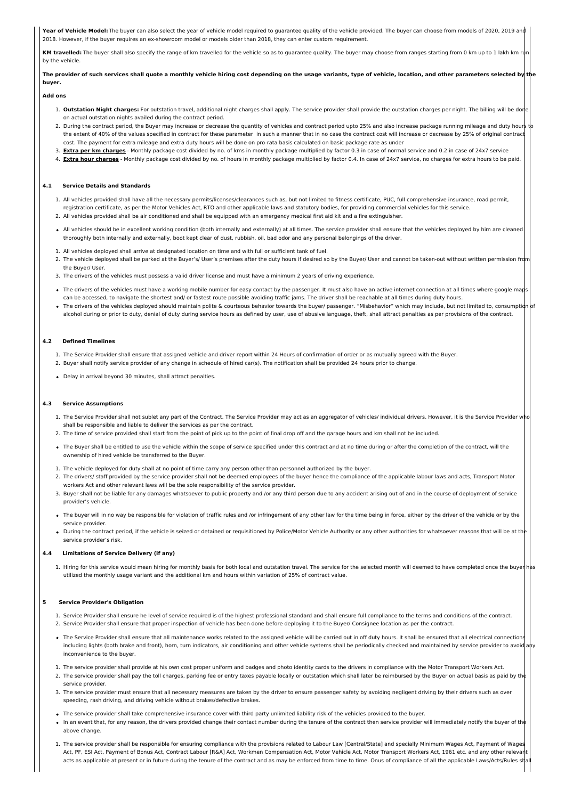**Year of Vehicle Model:** The buyer can also select the year of vehicle model required to quarantee quality of the vehicle provided. The buyer can choose from models of 2020, 2019 and 2018. However, if the buyer requires an ex-showroom model or models older than 2018, they can enter custom requirement.

KM travelled: The buyer shall also specify the range of km travelled for the vehicle so as to guarantee quality. The buyer may choose from ranges starting from 0 km up to 1 lakh km by the vehicle.

The provider of such services shall quote a monthly vehicle hiring cost depending on the usage variants, type of vehicle, location, and other parameters selected by **buyer.**

## **Add ons**

- 1. Outstation Night charges: For outstation travel, additional night charges shall apply. The service provider shall provide the outstation charges per night. The billing will be dor on actual outstation nights availed during the contract period.
- 2. During the contract period, the Buyer may increase or decrease the quantity of vehicles and contract period upto 25% and also increase package running mileage and duty hours the extent of 40% of the values specified in contract for these parameter in such a manner that in no case the contract cost will increase or decrease by 25% of original contract cost. The payment for extra mileage and extra duty hours will be done on pro-rata basis calculated on basic package rate as under
- 3. **Extra per km charges** Monthly package cost divided by no. of kms in monthly package multiplied by factor 0.3 in case of normal service and 0.2 in case of 24x7 service
- 4. **Extra hour charges** Monthly package cost divided by no. of hours in monthly package multiplied by factor 0.4. In case of 24x7 service, no charges for extra hours to be paid.

## **4.1 Service Details and Standards**

- 1. All vehicles provided shall have all the necessary permits/licenses/clearances such as, but not limited to fitness certificate, PUC, full comprehensive insurance, road permit, registration certificate, as per the Motor Vehicles Act, RTO and other applicable laws and statutory bodies, for providing commercial vehicles for this service. 2. All vehicles provided shall be air conditioned and shall be equipped with an emergency medical first aid kit and a fire extinguisher.
- All vehicles should be in excellent working condition (both internally and externally) at all times. The service provider shall ensure that the vehicles deployed by him are cleaned
- thoroughly both internally and externally, boot kept clear of dust, rubbish, oil, bad odor and any personal belongings of the driver.
- 1. All vehicles deployed shall arrive at designated location on time and with full or sufficient tank of fuel.
- 2. The vehicle deployed shall be parked at the Buyer's/ User's premises after the duty hours if desired so by the Buyer/ User and cannot be taken-out without written permission from the Buyer/ User.
- 3. The drivers of the vehicles must possess a valid driver license and must have a minimum 2 years of driving experience.
- . The drivers of the vehicles must have a working mobile number for easy contact by the passenger. It must also have an active internet connection at all times where google map can be accessed, to navigate the shortest and/ or fastest route possible avoiding traffic jams. The driver shall be reachable at all times during duty hours.
- . The drivers of the vehicles deployed should maintain polite & courteous behavior towards the buyer/ passenger. "Misbehavior" which may include, but not limited to, consumpt alcohol during or prior to duty, denial of duty during service hours as defined by user, use of abusive language, theft, shall attract penalties as per provisions of the contract.

## **4.2 Defined Timelines**

- 1. The Service Provider shall ensure that assigned vehicle and driver report within 24 Hours of confirmation of order or as mutually agreed with the Buyer. 2. Buyer shall notify service provider of any change in schedule of hired car(s). The notification shall be provided 24 hours prior to change.
- Delay in arrival beyond 30 minutes, shall attract penalties.

#### **4.3 Service Assumptions**

- 1. The Service Provider shall not sublet any part of the Contract. The Service Provider may act as an aggregator of vehicles/ individual drivers. However, it is the Service Provider wl shall be responsible and liable to deliver the services as per the contract.
- 2. The time of service provided shall start from the point of pick up to the point of final drop off and the garage hours and km shall not be included.
- The Buyer shall be entitled to use the vehicle within the scope of service specified under this contract and at no time during or after the completion of the contract, will the ownership of hired vehicle be transferred to the Buyer.
- 1. The vehicle deployed for duty shall at no point of time carry any person other than personnel authorized by the buyer.
- 2. The drivers/ staff provided by the service provider shall not be deemed employees of the buyer hence the compliance of the applicable labour laws and acts, Transport Motor workers Act and other relevant laws will be the sole responsibility of the service provider.
- 3. Buyer shall not be liable for any damages whatsoever to public property and /or any third person due to any accident arising out of and in the course of deployment of service provider's vehicle.
- The buyer will in no way be responsible for violation of traffic rules and /or infringement of any other law for the time being in force, either by the driver of the vehicle or by the service provider.
- During the contract period, if the vehicle is seized or detained or requisitioned by Police/Motor Vehicle Authority or any other authorities for whatsoever reasons that will be at th service provider's risk.

#### **4.4 Limitations of Service Delivery (if any)**

1. Hiring for this service would mean hiring for monthly basis for both local and outstation travel. The service for the selected month will deemed to have completed once the buyer utilized the monthly usage variant and the additional km and hours within variation of 25% of contract value.

#### **5 Service Provider's Obligation**

- 1. Service Provider shall ensure he level of service required is of the highest professional standard and shall ensure full compliance to the terms and conditions of the contract.
- 2. Service Provider shall ensure that proper inspection of vehicle has been done before deploying it to the Buyer/ Consignee location as per the contract.
- The Service Provider shall ensure that all maintenance works related to the assigned vehicle will be carried out in off duty hours. It shall be ensured that all electrical connection including lights (both brake and front), horn, turn indicators, air conditioning and other vehicle systems shall be periodically checked and maintained by service provider to avoid inconvenience to the buyer.
- 1. The service provider shall provide at his own cost proper uniform and badges and photo identity cards to the drivers in compliance with the Motor Transport Workers Act.
- 2. The service provider shall pay the toll charges, parking fee or entry taxes payable locally or outstation which shall later be reimbursed by the Buyer on actual basis as paid by the service provider.
- 3. The service provider must ensure that all necessary measures are taken by the driver to ensure passenger safety by avoiding negligent driving by their drivers such as over speeding, rash driving, and driving vehicle without brakes/defective brakes.
- . The service provider shall take comprehensive insurance cover with third party unlimited liability risk of the vehicles provided to the buyer.
- In an event that, for any reason, the drivers provided change their contact number during the tenure of the contract then service provider will immediately notify the buyer of th above change.
- 1. The service provider shall be responsible for ensuring compliance with the provisions related to Labour Law [Central/State] and specially Minimum Wages Act, Payment of Wages Act, PF, ESI Act, Payment of Bonus Act, Contract Labour [R&A] Act, Workmen Compensation Act, Motor Vehicle Act, Motor Transport Workers Act, 1961 etc. and any other releva acts as applicable at present or in future during the tenure of the contract and as may be enforced from time to time. Onus of compliance of all the applicable Laws/Acts/Rules sl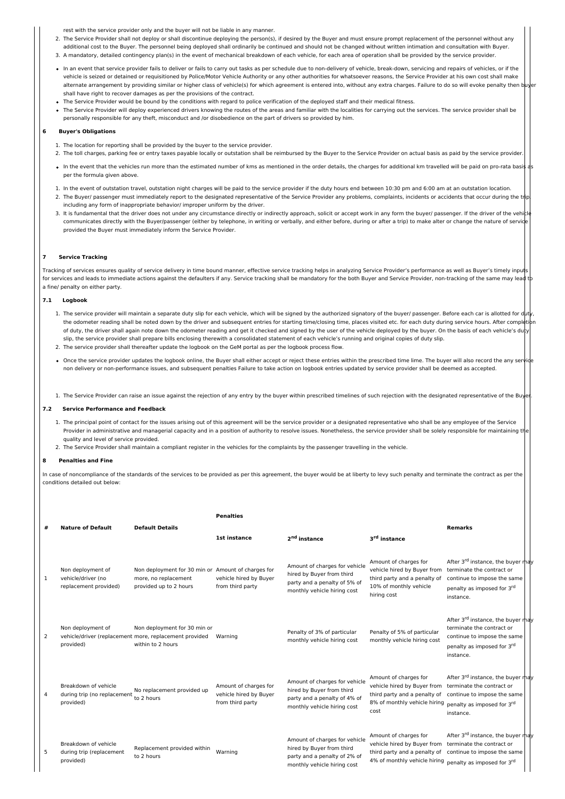rest with the service provider only and the buyer will not be liable in any manner.

- 2. The Service Provider shall not deploy or shall discontinue deploying the person(s), if desired by the Buyer and must ensure prompt replacement of the personnel without any
- additional cost to the Buyer. The personnel being deployed shall ordinarily be continued and should not be changed without written intimation and consultation with Buyer. 3. A mandatory, detailed contingency plan(s) in the event of mechanical breakdown of each vehicle, for each area of operation shall be provided by the service provider.
- In an event that service provider fails to deliver or fails to carry out tasks as per schedule due to non-delivery of vehicle, break-down, servicing and repairs of vehicles, or if the vehicle is seized or detained or requisitioned by Police/Motor Vehicle Authority or any other authorities for whatsoever reasons, the Service Provider at his own cost shall make alternate arrangement by providing similar or higher class of vehicle(s) for which agreement is entered into, without any extra charges. Failure to do so will evoke penalty then shall have right to recover damages as per the provisions of the contract.
- . The Service Provider would be bound by the conditions with regard to police verification of the deployed staff and their medical fitness.
- The Service Provider will deploy experienced drivers knowing the routes of the areas and familiar with the localities for carrying out the services. The service provider shall be personally responsible for any theft, misconduct and /or disobedience on the part of drivers so provided by him.

## **6 Buyer's Obligations**

- 1. The location for reporting shall be provided by the buyer to the service provider.
- 2. The toll charges, parking fee or entry taxes payable locally or outstation shall be reimbursed by the Buyer to the Service Provider on actual basis as paid by the service provider
- In the event that the vehicles run more than the estimated number of kms as mentioned in the order details, the charges for additional km travelled will be paid on pro-rata basis as per the formula given above.
- 1. In the event of outstation travel, outstation night charges will be paid to the service provider if the duty hours end between 10:30 pm and 6:00 am at an outstation location.
- 2. The Buyer/ passenger must immediately report to the designated representative of the Service Provider any problems, complaints, incidents or accidents that occur during the tr including any form of inappropriate behavior/ improper uniform by the driver.
- 3. It is fundamental that the driver does not under any circumstance directly or indirectly approach, solicit or accept work in any form the buyer/ passenger. If the driver of the vehicle communicates directly with the Buyer/passenger (either by telephone, in writing or verbally, and either before, during or after a trip) to make alter or change the nature of service provided the Buyer must immediately inform the Service Provider.

#### **7 Service Tracking**

Tracking of services ensures quality of service delivery in time bound manner, effective service tracking helps in analyzing Service Provider's performance as well as Buyer's timely input for services and leads to immediate actions against the defaulters if any. Service tracking shall be mandatory for the both Buyer and Service Provider, non-tracking of the same may lead a fine/ penalty on either party.

#### **7.1 Logbook**

- 1. The service provider will maintain a separate duty slip for each vehicle, which will be signed by the authorized signatory of the buyer/ passenger. Before each car is allotted for d the odometer reading shall be noted down by the driver and subsequent entries for starting time/closing time, places visited etc. for each duty during service hours. After compl of duty, the driver shall again note down the odometer reading and get it checked and signed by the vehicle deployed by the buyer. On the basis of each vehicle's du slip, the service provider shall prepare bills enclosing therewith a consolidated statement of each vehicle's running and original copies of duty slip.
- 2. The service provider shall thereafter update the logbook on the GeM portal as per the logbook process flow.
- . Once the service provider updates the logbook online, the Buyer shall either accept or reject these entries within the prescribed time lime. The buyer will also record the any ser non delivery or non-performance issues, and subsequent penalties Failure to take action on logbook entries updated by service provider shall be deemed as accepted.
- 1. The Service Provider can raise an issue against the rejection of any entry by the buyer within prescribed timelines of such rejection with the designated representative of the Buy

## **7.2 Service Performance and Feedback**

- 1. The principal point of contact for the issues arising out of this agreement will be the service provider or a designated representative who shall be any employee of the Service Provider in administrative and managerial capacity and in a position of authority to resolve issues. Nonetheless, the service provider shall be solely responsible for maintaining the solely responsible for maintaining the quality and level of service provided.
- 2. The Service Provider shall maintain a compliant register in the vehicles for the complaints by the passenger travelling in the vehicle.

## **8 Penalties and Fine**

In case of noncompliance of the standards of the services to be provided as per this agreement, the buyer would be at liberty to levy such penalty and terminate the contract as per the conditions detailed out below:

|   |                                                                  |                                                                                                             | <b>Penalties</b>                                                    |                                                                                                                           |                                                                                                                                                 |                                                                                                                                                      |  |
|---|------------------------------------------------------------------|-------------------------------------------------------------------------------------------------------------|---------------------------------------------------------------------|---------------------------------------------------------------------------------------------------------------------------|-------------------------------------------------------------------------------------------------------------------------------------------------|------------------------------------------------------------------------------------------------------------------------------------------------------|--|
| # | <b>Nature of Default</b>                                         | <b>Default Details</b>                                                                                      | 1st instance<br>2 <sup>nd</sup> instance                            |                                                                                                                           | 3 <sup>rd</sup> instance                                                                                                                        | <b>Remarks</b>                                                                                                                                       |  |
| 1 | Non deployment of<br>vehicle/driver (no<br>replacement provided) | Non deployment for 30 min or Amount of charges for<br>more, no replacement<br>provided up to 2 hours        | vehicle hired by Buyer<br>from third party                          | Amount of charges for vehicle<br>hired by Buyer from third<br>party and a penalty of 5% of<br>monthly vehicle hiring cost | Amount of charges for<br>vehicle hired by Buyer from<br>third party and a penalty of<br>10% of monthly vehicle<br>hiring cost                   | After 3rd instance, the buyer may<br>terminate the contract or<br>continue to impose the same<br>penalty as imposed for 3rd<br>instance.             |  |
| 2 | Non deployment of<br>provided)                                   | Non deployment for 30 min or<br>vehicle/driver (replacement more, replacement provided<br>within to 2 hours | Warning                                                             | Penalty of 3% of particular<br>monthly vehicle hiring cost                                                                | Penalty of 5% of particular<br>monthly vehicle hiring cost                                                                                      | After 3rd instance, the buyer may<br>terminate the contract or<br>continue to impose the same<br>penalty as imposed for 3rd<br>instance.             |  |
| 4 | Breakdown of vehicle<br>during trip (no replacement<br>provided) | No replacement provided up<br>to 2 hours                                                                    | Amount of charges for<br>vehicle hired by Buyer<br>from third party | Amount of charges for vehicle<br>hired by Buyer from third<br>party and a penalty of 4% of<br>monthly vehicle hiring cost | Amount of charges for<br>vehicle hired by Buyer from<br>third party and a penalty of<br>8% of monthly vehicle hiring<br>cost                    | After 3 <sup>rd</sup> instance, the buyer may<br>terminate the contract or<br>continue to impose the same<br>penalty as imposed for 3rd<br>instance. |  |
| 5 | Breakdown of vehicle<br>during trip (replacement<br>provided)    | Replacement provided within<br>to 2 hours                                                                   | Warning                                                             | Amount of charges for vehicle<br>hired by Buyer from third<br>party and a penalty of 2% of<br>monthly vehicle hiring cost | Amount of charges for<br>vehicle hired by Buyer from<br>third party and a penalty of<br>4% of monthly vehicle hiring penalty as imposed for 3rd | After 3rd instance, the buyer may<br>terminate the contract or<br>continue to impose the same                                                        |  |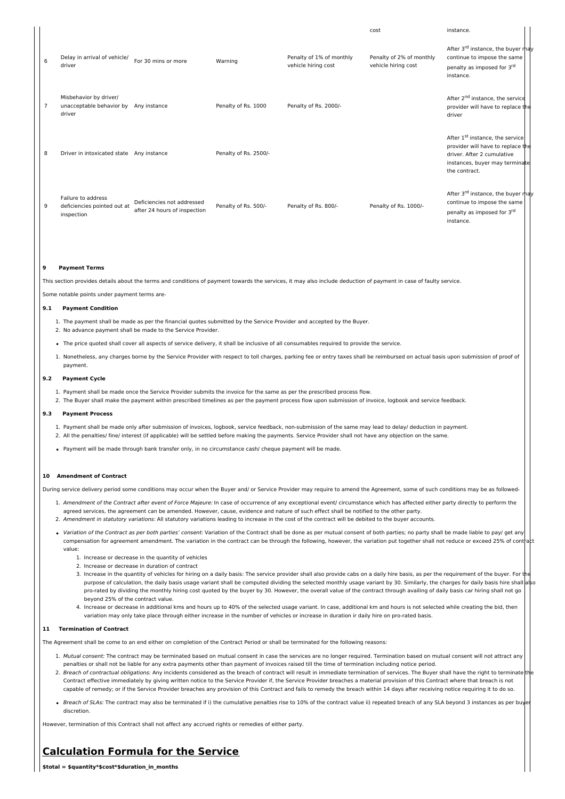|                |                                                                 |                                                            |                       |                                                 | cost                                            | instance.                                                                                                                                                         |
|----------------|-----------------------------------------------------------------|------------------------------------------------------------|-----------------------|-------------------------------------------------|-------------------------------------------------|-------------------------------------------------------------------------------------------------------------------------------------------------------------------|
| 6              | Delay in arrival of vehicle/<br>driver                          | For 30 mins or more                                        | Warning               | Penalty of 1% of monthly<br>vehicle hiring cost | Penalty of 2% of monthly<br>vehicle hiring cost | After 3 <sup>rd</sup> instance, the buyer may<br>continue to impose the same<br>penalty as imposed for 3rd<br>instance.                                           |
| $\overline{7}$ | Misbehavior by driver/<br>unacceptable behavior by<br>driver    | Any instance                                               | Penalty of Rs. 1000   | Penalty of Rs. 2000/-                           |                                                 | After 2 <sup>nd</sup> instance, the service<br>provider will have to replace the<br>driver                                                                        |
| 8              | Driver in intoxicated state Any instance                        |                                                            | Penalty of Rs. 2500/- |                                                 |                                                 | After 1 <sup>st</sup> instance, the service<br>provider will have to replace the<br>driver. After 2 cumulative<br>instances, buyer may terminate<br>the contract. |
| 9              | Failure to address<br>deficiencies pointed out at<br>inspection | Deficiencies not addressed<br>after 24 hours of inspection | Penalty of Rs. 500/-  | Penalty of Rs. 800/-                            | Penalty of Rs. 1000/-                           | After 3 <sup>rd</sup> instance, the buyer may<br>continue to impose the same<br>penalty as imposed for 3rd<br>instance.                                           |

#### **9 Payment Terms**

This section provides details about the terms and conditions of payment towards the services, it may also include deduction of payment in case of faulty service.

Some notable points under payment terms are-

## **9.1 Payment Condition**

- 1. The payment shall be made as per the financial quotes submitted by the Service Provider and accepted by the Buyer.
- 2. No advance payment shall be made to the Service Provider.
- The price quoted shall cover all aspects of service delivery, it shall be inclusive of all consumables required to provide the service.
- 1. Nonetheless, any charges borne by the Service Provider with respect to toll charges, parking fee or entry taxes shall be reimbursed on actual basis upon submission of proof of payment.

#### **9.2 Payment Cycle**

- 1. Payment shall be made once the Service Provider submits the invoice for the same as per the prescribed process flow.
- 2. The Buyer shall make the payment within prescribed timelines as per the payment process flow upon submission of invoice, logbook and service feedback.

## **9.3 Payment Process**

- 1. Payment shall be made only after submission of invoices, logbook, service feedback, non-submission of the same may lead to delay/ deduction in payment. 2. All the penalties/ fine/ interest (if applicable) will be settled before making the payments. Service Provider shall not have any objection on the same.
- Payment will be made through bank transfer only, in no circumstance cash/ cheque payment will be made.

## **10 Amendment of Contract**

During service delivery period some conditions may occur when the Buyer and/ or Service Provider may require to amend the Agreement, some of such conditions may be as followed-

- 1. Amendment of the Contract after event of Force Majeure: In case of occurrence of any exceptional event/ circumstance which has affected either party directly to perform the agreed services, the agreement can be amended. However, cause, evidence and nature of such effect shall be notified to the other party.
- 2. Amendment in statutory variations: All statutory variations leading to increase in the cost of the contract will be debited to the buyer accounts.
- Variation of the Contract as per both parties' consent: Variation of the Contract shall be done as per mutual consent of both parties; no party shall be made liable to pay/ get any compensation for agreement amendment. The variation in the contract can be through the following, however, the variation put together shall not reduce or exceed 25% of cont value:
	- 1. Increase or decrease in the quantity of vehicles
	- 2. Increase or decrease in duration of contract
	- 3. Increase in the quantity of vehicles for hiring on a daily basis: The service provider shall also provide cabs on a daily hire basis, as per the requirement of the buyer. For purpose of calculation, the daily basis usage variant shall be computed dividing the selected monthly usage variant by 30. Similarly, the charges for daily basis hire shall pro-rated by dividing the monthly hiring cost quoted by the buyer by 30. However, the overall value of the contract through availing of daily basis car hiring shall not go beyond 25% of the contract value.
	- 4. Increase or decrease in additional kms and hours up to 40% of the selected usage variant. In case, additional km and hours is not selected while creating the bid, then variation may only take place through either increase in the number of vehicles or increase in duration ir daily hire on pro-rated basis.

## **11 Termination of Contract**

The Agreement shall be come to an end either on completion of the Contract Period or shall be terminated for the following reasons:

- 1. Mutual consent: The contract may be terminated based on mutual consent in case the services are no longer required. Termination based on mutual consent will not attract any penalties or shall not be liable for any extra payments other than payment of invoices raised till the time of termination including notice period.
- 2. Breach of contractual obligations: Any incidents considered as the breach of contract will result in immediate termination of services. The Buyer shall have the right to terminate Contract effective immediately by giving written notice to the Service Provider if, the Service Provider breaches a material provision of this Contract where that breach is not capable of remedy; or if the Service Provider breaches any provision of this Contract and fails to remedy the breach within 14 days after receiving notice requiring it to do so.
- Breach of SLAs: The contract may also be terminated if i) the cumulative penalties rise to 10% of the contract value ii) repeated breach of any SLA beyond 3 instances as per bu discretion.

However, termination of this Contract shall not affect any accrued rights or remedies of either party.

# **Calculation Formula for the Service**

**\$total = \$quantity\*\$cost\*\$duration\_in\_months**